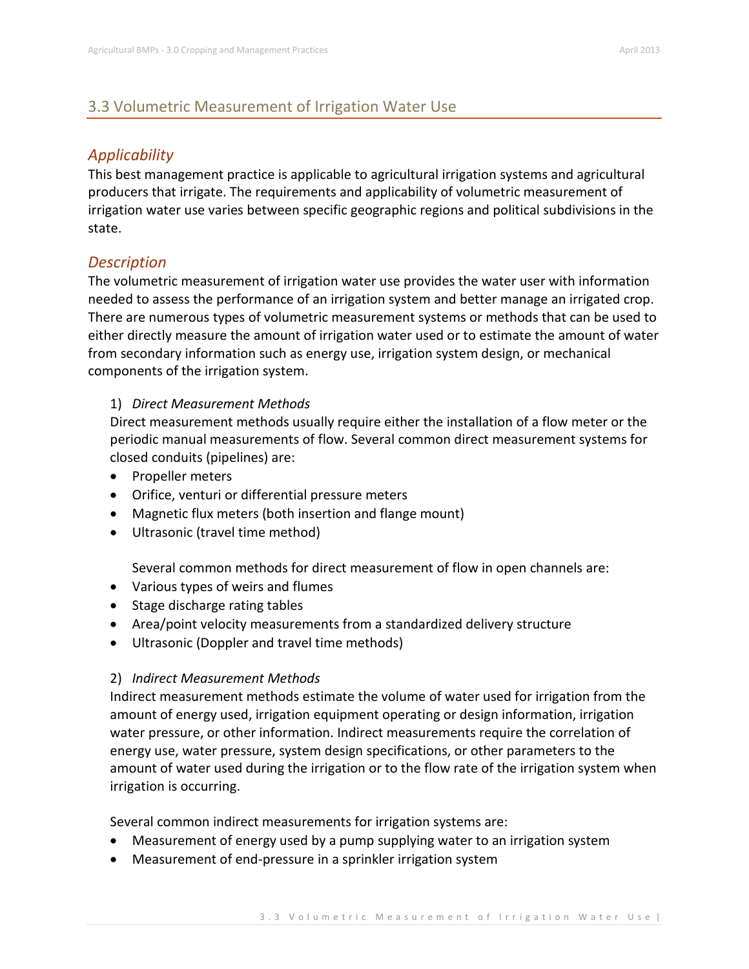# 3.3 Volumetric Measurement of Irrigation Water Use

## *Applicability*

This best management practice is applicable to agricultural irrigation systems and agricultural producers that irrigate. The requirements and applicability of volumetric measurement of irrigation water use varies between specific geographic regions and political subdivisions in the state.

## *Description*

The volumetric measurement of irrigation water use provides the water user with information needed to assess the performance of an irrigation system and better manage an irrigated crop. There are numerous types of volumetric measurement systems or methods that can be used to either directly measure the amount of irrigation water used or to estimate the amount of water from secondary information such as energy use, irrigation system design, or mechanical components of the irrigation system.

### 1) *Direct Measurement Methods*

Direct measurement methods usually require either the installation of a flow meter or the periodic manual measurements of flow. Several common direct measurement systems for closed conduits (pipelines) are:

- Propeller meters
- Orifice, venturi or differential pressure meters
- Magnetic flux meters (both insertion and flange mount)
- Ultrasonic (travel time method)

Several common methods for direct measurement of flow in open channels are:

- Various types of weirs and flumes
- Stage discharge rating tables
- Area/point velocity measurements from a standardized delivery structure
- Ultrasonic (Doppler and travel time methods)

## 2) *Indirect Measurement Methods*

Indirect measurement methods estimate the volume of water used for irrigation from the amount of energy used, irrigation equipment operating or design information, irrigation water pressure, or other information. Indirect measurements require the correlation of energy use, water pressure, system design specifications, or other parameters to the amount of water used during the irrigation or to the flow rate of the irrigation system when irrigation is occurring.

Several common indirect measurements for irrigation systems are:

- Measurement of energy used by a pump supplying water to an irrigation system
- Measurement of end-pressure in a sprinkler irrigation system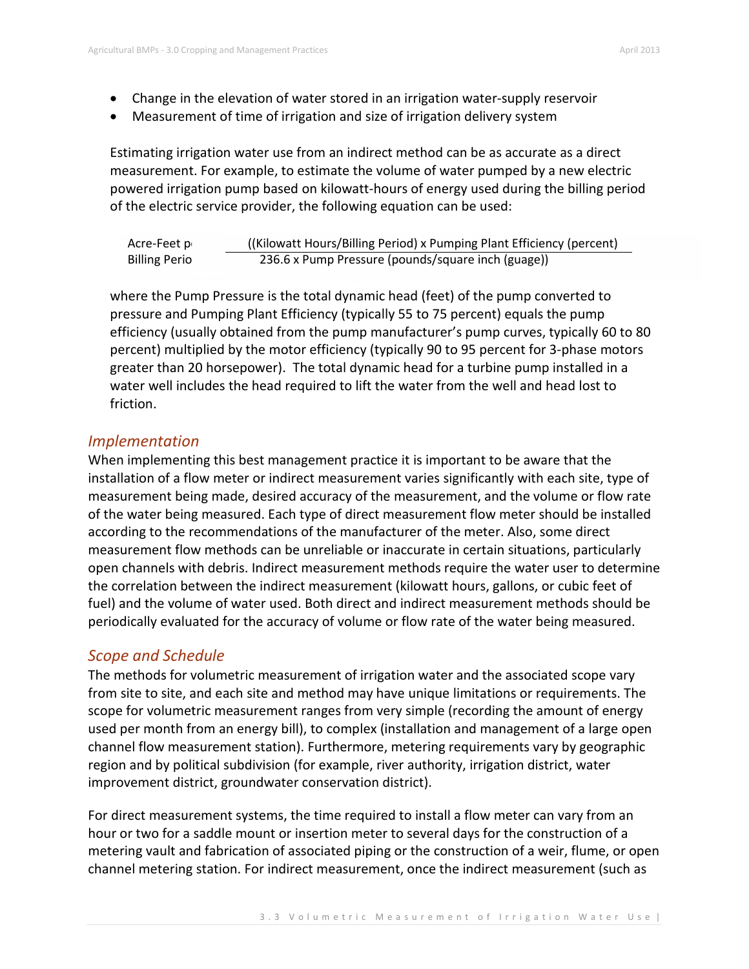- Change in the elevation of water stored in an irrigation water-supply reservoir
- Measurement of time of irrigation and size of irrigation delivery system

Estimating irrigation water use from an indirect method can be as accurate as a direct measurement. For example, to estimate the volume of water pumped by a new electric powered irrigation pump based on kilowatt-hours of energy used during the billing period of the electric service provider, the following equation can be used:

| Acre-Feet p          | (Kilowatt Hours/Billing Period) x Pumping Plant Efficiency (percent) |
|----------------------|----------------------------------------------------------------------|
| <b>Billing Perio</b> | 236.6 x Pump Pressure (pounds/square inch (guage))                   |

where the Pump Pressure is the total dynamic head (feet) of the pump converted to pressure and Pumping Plant Efficiency (typically 55 to 75 percent) equals the pump efficiency (usually obtained from the pump manufacturer's pump curves, typically 60 to 80 percent) multiplied by the motor efficiency (typically 90 to 95 percent for 3-phase motors greater than 20 horsepower). The total dynamic head for a turbine pump installed in a water well includes the head required to lift the water from the well and head lost to friction.

### *Implementation*

When implementing this best management practice it is important to be aware that the installation of a flow meter or indirect measurement varies significantly with each site, type of measurement being made, desired accuracy of the measurement, and the volume or flow rate of the water being measured. Each type of direct measurement flow meter should be installed according to the recommendations of the manufacturer of the meter. Also, some direct measurement flow methods can be unreliable or inaccurate in certain situations, particularly open channels with debris. Indirect measurement methods require the water user to determine the correlation between the indirect measurement (kilowatt hours, gallons, or cubic feet of fuel) and the volume of water used. Both direct and indirect measurement methods should be periodically evaluated for the accuracy of volume or flow rate of the water being measured.

## *Scope and Schedule*

The methods for volumetric measurement of irrigation water and the associated scope vary from site to site, and each site and method may have unique limitations or requirements. The scope for volumetric measurement ranges from very simple (recording the amount of energy used per month from an energy bill), to complex (installation and management of a large open channel flow measurement station). Furthermore, metering requirements vary by geographic region and by political subdivision (for example, river authority, irrigation district, water improvement district, groundwater conservation district).

For direct measurement systems, the time required to install a flow meter can vary from an hour or two for a saddle mount or insertion meter to several days for the construction of a metering vault and fabrication of associated piping or the construction of a weir, flume, or open channel metering station. For indirect measurement, once the indirect measurement (such as